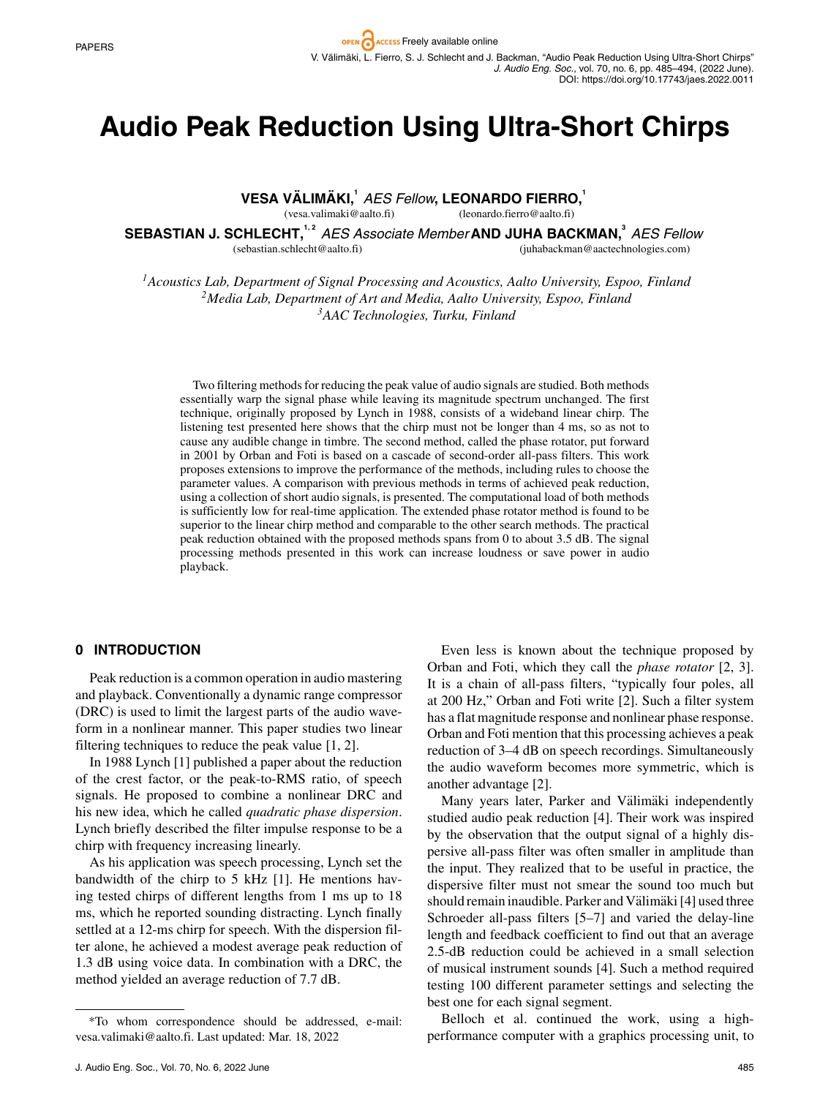# **Audio Peak Reduction Using Ultra-Short Chirps**

**VESA VALIM ¨ AKI, ¨ <sup>1</sup>** *AES Fellow* **, LEONARDO FIERRO,<sup>1</sup>**

(vesa.valimaki@aalto.fi) (leonardo.fierro@aalto.fi)

SEBASTIAN J. SCHLECHT,<sup>1,2</sup> AES Associate Member AND JUHA BACKMAN,<sup>3</sup> AES Fellow

(sebastian.schlecht@aalto.fi)

(juhabackman@aactechnologies.com)

*1Acoustics Lab, Department of Signal Processing and Acoustics, Aalto University, Espoo, Finland 2Media Lab, Department of Art and Media, Aalto University, Espoo, Finland 3AAC Technologies, Turku, Finland*

Two filtering methods for reducing the peak value of audio signals are studied. Both methods essentially warp the signal phase while leaving its magnitude spectrum unchanged. The first technique, originally proposed by Lynch in 1988, consists of a wideband linear chirp. The listening test presented here shows that the chirp must not be longer than 4 ms, so as not to cause any audible change in timbre. The second method, called the phase rotator, put forward in 2001 by Orban and Foti is based on a cascade of second-order all-pass filters. This work proposes extensions to improve the performance of the methods, including rules to choose the parameter values. A comparison with previous methods in terms of achieved peak reduction, using a collection of short audio signals, is presented. The computational load of both methods is sufficiently low for real-time application. The extended phase rotator method is found to be superior to the linear chirp method and comparable to the other search methods. The practical peak reduction obtained with the proposed methods spans from 0 to about 3.5 dB. The signal processing methods presented in this work can increase loudness or save power in audio playback.

## **0 INTRODUCTION**

Peak reduction is a common operation in audio mastering and playback. Conventionally a dynamic range compressor (DRC) is used to limit the largest parts of the audio waveform in a nonlinear manner. This paper studies two linear filtering techniques to reduce the peak value [1, 2].

In 1988 Lynch [1] published a paper about the reduction of the crest factor, or the peak-to-RMS ratio, of speech signals. He proposed to combine a nonlinear DRC and his new idea, which he called *quadratic phase dispersion*. Lynch briefly described the filter impulse response to be a chirp with frequency increasing linearly.

As his application was speech processing, Lynch set the bandwidth of the chirp to 5 kHz [1]. He mentions having tested chirps of different lengths from 1 ms up to 18 ms, which he reported sounding distracting. Lynch finally settled at a 12-ms chirp for speech. With the dispersion filter alone, he achieved a modest average peak reduction of 1.3 dB using voice data. In combination with a DRC, the method yielded an average reduction of 7.7 dB.

Even less is known about the technique proposed by Orban and Foti, which they call the *phase rotator* [2, 3]. It is a chain of all-pass filters, "typically four poles, all at 200 Hz," Orban and Foti write [2]. Such a filter system has a flat magnitude response and nonlinear phase response. Orban and Foti mention that this processing achieves a peak reduction of 3–4 dB on speech recordings. Simultaneously the audio waveform becomes more symmetric, which is another advantage [2].

Many years later, Parker and Välimäki independently studied audio peak reduction [4]. Their work was inspired by the observation that the output signal of a highly dispersive all-pass filter was often smaller in amplitude than the input. They realized that to be useful in practice, the dispersive filter must not smear the sound too much but should remain inaudible. Parker and Välimäki [4] used three Schroeder all-pass filters [5–7] and varied the delay-line length and feedback coefficient to find out that an average 2.5-dB reduction could be achieved in a small selection of musical instrument sounds [4]. Such a method required testing 100 different parameter settings and selecting the best one for each signal segment.

Belloch et al. continued the work, using a highperformance computer with a graphics processing unit, to

<sup>\*</sup>To whom correspondence should be addressed, e-mail: vesa.valimaki@aalto.fi. Last updated: Mar. 18, 2022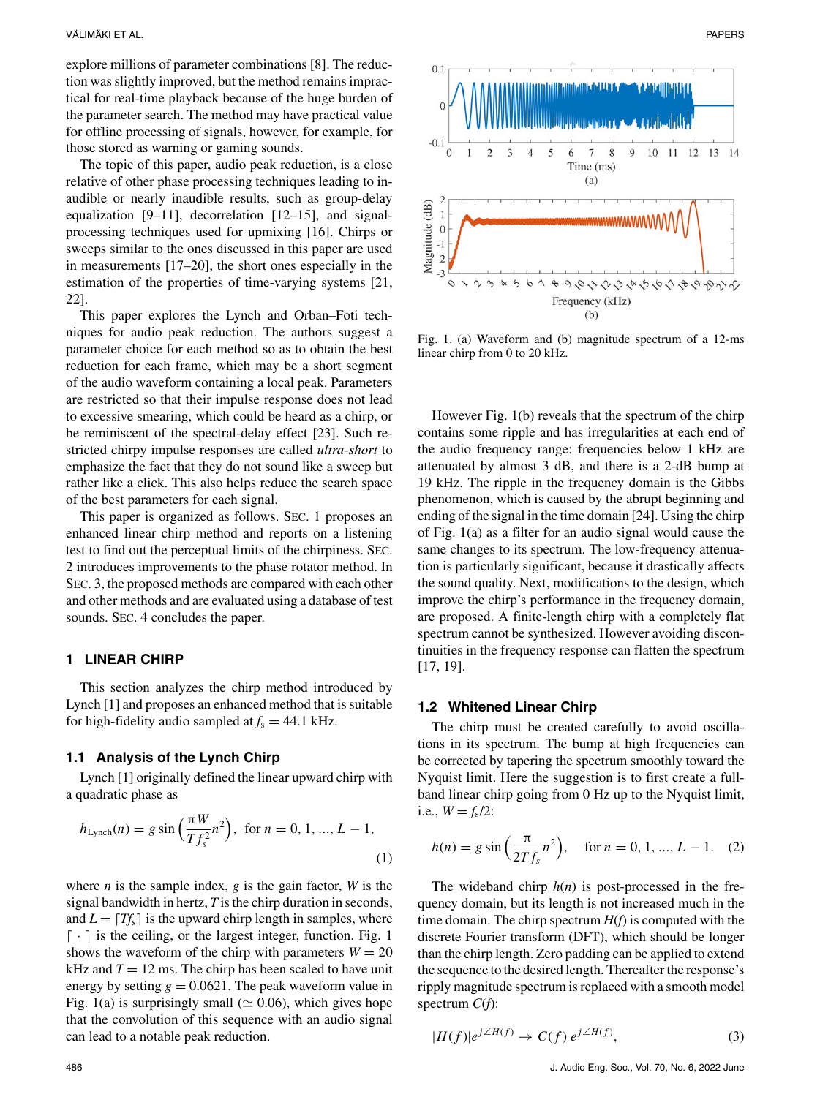explore millions of parameter combinations [8]. The reduction was slightly improved, but the method remains impractical for real-time playback because of the huge burden of the parameter search. The method may have practical value for offline processing of signals, however, for example, for those stored as warning or gaming sounds.

The topic of this paper, audio peak reduction, is a close relative of other phase processing techniques leading to inaudible or nearly inaudible results, such as group-delay equalization [9–11], decorrelation [12–15], and signalprocessing techniques used for upmixing [16]. Chirps or sweeps similar to the ones discussed in this paper are used in measurements [17–20], the short ones especially in the estimation of the properties of time-varying systems [21, 22].

This paper explores the Lynch and Orban–Foti techniques for audio peak reduction. The authors suggest a parameter choice for each method so as to obtain the best reduction for each frame, which may be a short segment of the audio waveform containing a local peak. Parameters are restricted so that their impulse response does not lead to excessive smearing, which could be heard as a chirp, or be reminiscent of the spectral-delay effect [23]. Such restricted chirpy impulse responses are called *ultra-short* to emphasize the fact that they do not sound like a sweep but rather like a click. This also helps reduce the search space of the best parameters for each signal.

This paper is organized as follows. SEC. 1 proposes an enhanced linear chirp method and reports on a listening test to find out the perceptual limits of the chirpiness. SEC. 2 introduces improvements to the phase rotator method. In SEC. 3, the proposed methods are compared with each other and other methods and are evaluated using a database of test sounds. SEC. 4 concludes the paper.

#### **1 LINEAR CHIRP**

This section analyzes the chirp method introduced by Lynch [1] and proposes an enhanced method that is suitable for high-fidelity audio sampled at  $f_s = 44.1$  kHz.

#### **1.1 Analysis of the Lynch Chirp**

Lynch [1] originally defined the linear upward chirp with a quadratic phase as

$$
h_{\text{Lynch}}(n) = g \sin\left(\frac{\pi W}{T f_s^2} n^2\right), \text{ for } n = 0, 1, ..., L - 1,
$$
\n(1)

where  $n$  is the sample index,  $g$  is the gain factor,  $W$  is the signal bandwidth in hertz, *T* is the chirp duration in seconds, and  $L = \lfloor Tf_s \rfloor$  is the upward chirp length in samples, where  $\lceil \cdot \rceil$  is the ceiling, or the largest integer, function. Fig. 1 shows the waveform of the chirp with parameters  $W = 20$ kHz and  $T = 12$  ms. The chirp has been scaled to have unit energy by setting  $g = 0.0621$ . The peak waveform value in Fig. 1(a) is surprisingly small ( $\simeq$  0.06), which gives hope that the convolution of this sequence with an audio signal can lead to a notable peak reduction.



Fig. 1. (a) Waveform and (b) magnitude spectrum of a 12-ms linear chirp from 0 to 20 kHz.

However Fig. 1(b) reveals that the spectrum of the chirp contains some ripple and has irregularities at each end of the audio frequency range: frequencies below 1 kHz are attenuated by almost 3 dB, and there is a 2-dB bump at 19 kHz. The ripple in the frequency domain is the Gibbs phenomenon, which is caused by the abrupt beginning and ending of the signal in the time domain [24]. Using the chirp of Fig. 1(a) as a filter for an audio signal would cause the same changes to its spectrum. The low-frequency attenuation is particularly significant, because it drastically affects the sound quality. Next, modifications to the design, which improve the chirp's performance in the frequency domain, are proposed. A finite-length chirp with a completely flat spectrum cannot be synthesized. However avoiding discontinuities in the frequency response can flatten the spectrum [17, 19].

#### **1.2 Whitened Linear Chirp**

The chirp must be created carefully to avoid oscillations in its spectrum. The bump at high frequencies can be corrected by tapering the spectrum smoothly toward the Nyquist limit. Here the suggestion is to first create a fullband linear chirp going from 0 Hz up to the Nyquist limit, i.e.,  $W = f_s/2$ :

$$
h(n) = g \sin\left(\frac{\pi}{2Tf_s}n^2\right), \quad \text{for } n = 0, 1, ..., L - 1. \quad (2)
$$

The wideband chirp  $h(n)$  is post-processed in the frequency domain, but its length is not increased much in the time domain. The chirp spectrum *H*(*f*) is computed with the discrete Fourier transform (DFT), which should be longer than the chirp length. Zero padding can be applied to extend the sequence to the desired length. Thereafter the response's ripply magnitude spectrum is replaced with a smooth model spectrum *C*(*f*):

$$
|H(f)|e^{j\angle H(f)} \to C(f) e^{j\angle H(f)}, \tag{3}
$$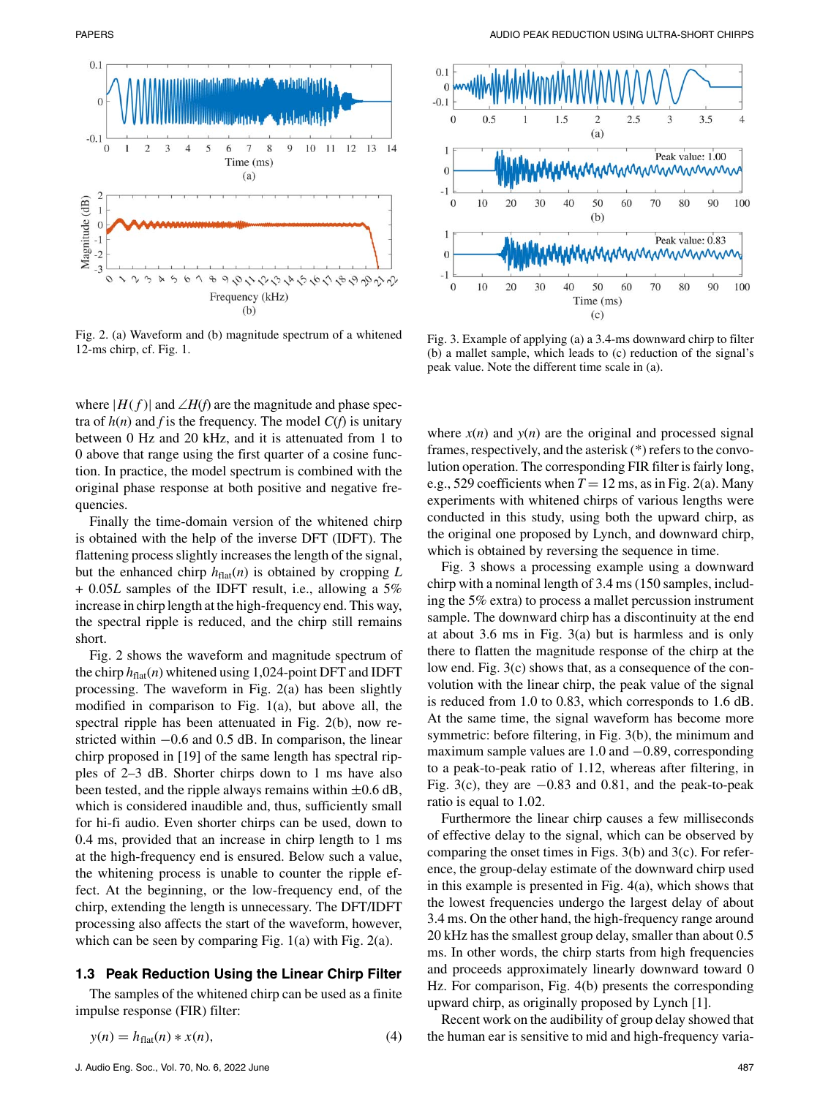

Fig. 2. (a) Waveform and (b) magnitude spectrum of a whitened 12-ms chirp, cf. Fig. 1.

where  $|H(f)|$  and  $\angle H(f)$  are the magnitude and phase spectra of  $h(n)$  and  $f$  is the frequency. The model  $C(f)$  is unitary between 0 Hz and 20 kHz, and it is attenuated from 1 to 0 above that range using the first quarter of a cosine function. In practice, the model spectrum is combined with the original phase response at both positive and negative frequencies.

Finally the time-domain version of the whitened chirp is obtained with the help of the inverse DFT (IDFT). The flattening process slightly increases the length of the signal, but the enhanced chirp  $h_{\text{flat}}(n)$  is obtained by cropping  $L$ + 0.05*L* samples of the IDFT result, i.e., allowing a 5% increase in chirp length at the high-frequency end. This way, the spectral ripple is reduced, and the chirp still remains short.

Fig. 2 shows the waveform and magnitude spectrum of the chirp  $h_{\text{flat}}(n)$  whitened using 1,024-point DFT and IDFT processing. The waveform in Fig. 2(a) has been slightly modified in comparison to Fig. 1(a), but above all, the spectral ripple has been attenuated in Fig. 2(b), now restricted within −0.6 and 0.5 dB. In comparison, the linear chirp proposed in [19] of the same length has spectral ripples of 2–3 dB. Shorter chirps down to 1 ms have also been tested, and the ripple always remains within  $\pm 0.6$  dB, which is considered inaudible and, thus, sufficiently small for hi-fi audio. Even shorter chirps can be used, down to 0.4 ms, provided that an increase in chirp length to 1 ms at the high-frequency end is ensured. Below such a value, the whitening process is unable to counter the ripple effect. At the beginning, or the low-frequency end, of the chirp, extending the length is unnecessary. The DFT/IDFT processing also affects the start of the waveform, however, which can be seen by comparing Fig. 1(a) with Fig. 2(a).

#### **1.3 Peak Reduction Using the Linear Chirp Filter**

The samples of the whitened chirp can be used as a finite impulse response (FIR) filter:

$$
y(n) = h_{\text{flat}}(n) * x(n),\tag{4}
$$



Fig. 3. Example of applying (a) a 3.4-ms downward chirp to filter (b) a mallet sample, which leads to (c) reduction of the signal's peak value. Note the different time scale in (a).

where  $x(n)$  and  $y(n)$  are the original and processed signal frames, respectively, and the asterisk (\*) refers to the convolution operation. The corresponding FIR filter is fairly long, e.g., 529 coefficients when  $T = 12$  ms, as in Fig. 2(a). Many experiments with whitened chirps of various lengths were conducted in this study, using both the upward chirp, as the original one proposed by Lynch, and downward chirp, which is obtained by reversing the sequence in time.

Fig. 3 shows a processing example using a downward chirp with a nominal length of 3.4 ms (150 samples, including the 5% extra) to process a mallet percussion instrument sample. The downward chirp has a discontinuity at the end at about 3.6 ms in Fig. 3(a) but is harmless and is only there to flatten the magnitude response of the chirp at the low end. Fig. 3(c) shows that, as a consequence of the convolution with the linear chirp, the peak value of the signal is reduced from 1.0 to 0.83, which corresponds to 1.6 dB. At the same time, the signal waveform has become more symmetric: before filtering, in Fig. 3(b), the minimum and maximum sample values are 1.0 and −0.89, corresponding to a peak-to-peak ratio of 1.12, whereas after filtering, in Fig. 3(c), they are  $-0.83$  and 0.81, and the peak-to-peak ratio is equal to 1.02.

Furthermore the linear chirp causes a few milliseconds of effective delay to the signal, which can be observed by comparing the onset times in Figs. 3(b) and 3(c). For reference, the group-delay estimate of the downward chirp used in this example is presented in Fig. 4(a), which shows that the lowest frequencies undergo the largest delay of about 3.4 ms. On the other hand, the high-frequency range around 20 kHz has the smallest group delay, smaller than about 0.5 ms. In other words, the chirp starts from high frequencies and proceeds approximately linearly downward toward 0 Hz. For comparison, Fig. 4(b) presents the corresponding upward chirp, as originally proposed by Lynch [1].

Recent work on the audibility of group delay showed that the human ear is sensitive to mid and high-frequency varia-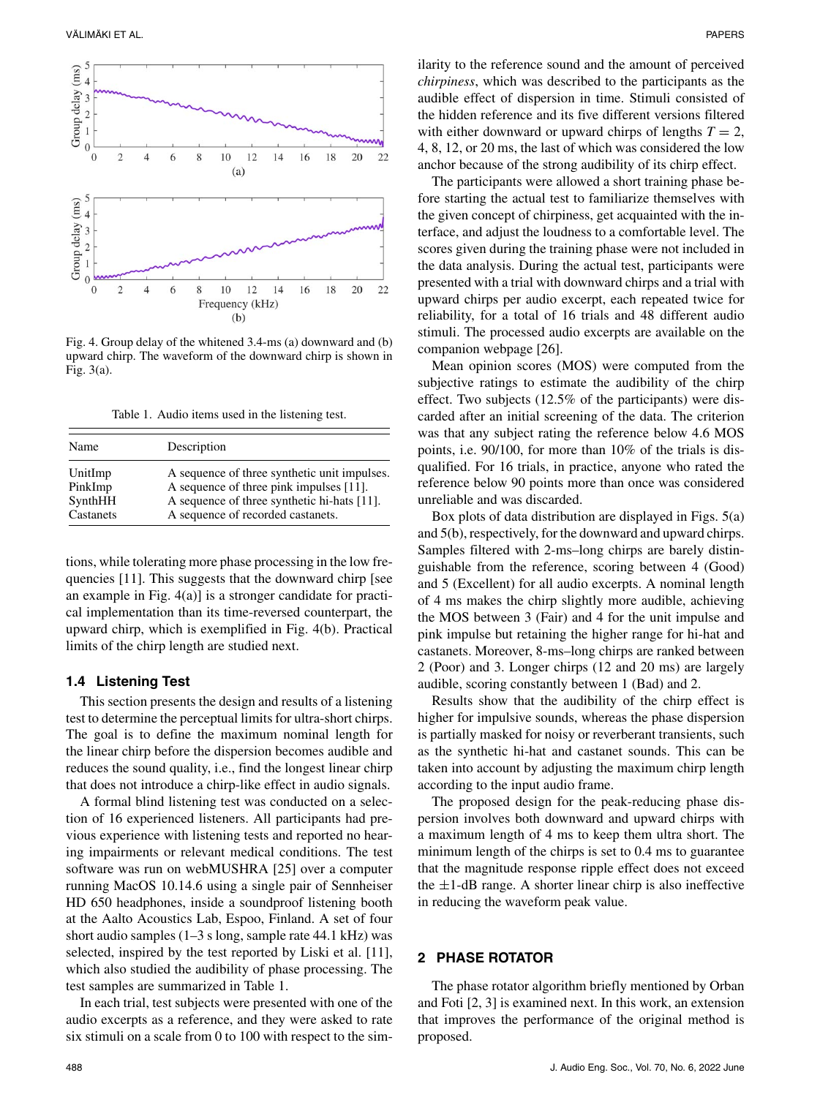

Fig. 4. Group delay of the whitened 3.4-ms (a) downward and (b) upward chirp. The waveform of the downward chirp is shown in Fig. 3(a).

Table 1. Audio items used in the listening test.

| Name      | Description                                  |
|-----------|----------------------------------------------|
| UnitImp   | A sequence of three synthetic unit impulses. |
| PinkImp   | A sequence of three pink impulses [11].      |
| SynthHH   | A sequence of three synthetic hi-hats [11].  |
| Castanets | A sequence of recorded castanets.            |

tions, while tolerating more phase processing in the low frequencies [11]. This suggests that the downward chirp [see an example in Fig. 4(a)] is a stronger candidate for practical implementation than its time-reversed counterpart, the upward chirp, which is exemplified in Fig. 4(b). Practical limits of the chirp length are studied next.

#### **1.4 Listening Test**

This section presents the design and results of a listening test to determine the perceptual limits for ultra-short chirps. The goal is to define the maximum nominal length for the linear chirp before the dispersion becomes audible and reduces the sound quality, i.e., find the longest linear chirp that does not introduce a chirp-like effect in audio signals.

A formal blind listening test was conducted on a selection of 16 experienced listeners. All participants had previous experience with listening tests and reported no hearing impairments or relevant medical conditions. The test software was run on webMUSHRA [25] over a computer running MacOS 10.14.6 using a single pair of Sennheiser HD 650 headphones, inside a soundproof listening booth at the Aalto Acoustics Lab, Espoo, Finland. A set of four short audio samples (1–3 s long, sample rate 44.1 kHz) was selected, inspired by the test reported by Liski et al. [11], which also studied the audibility of phase processing. The test samples are summarized in Table 1.

In each trial, test subjects were presented with one of the audio excerpts as a reference, and they were asked to rate six stimuli on a scale from 0 to 100 with respect to the similarity to the reference sound and the amount of perceived *chirpiness*, which was described to the participants as the audible effect of dispersion in time. Stimuli consisted of the hidden reference and its five different versions filtered with either downward or upward chirps of lengths  $T = 2$ , 4, 8, 12, or 20 ms, the last of which was considered the low anchor because of the strong audibility of its chirp effect.

The participants were allowed a short training phase before starting the actual test to familiarize themselves with the given concept of chirpiness, get acquainted with the interface, and adjust the loudness to a comfortable level. The scores given during the training phase were not included in the data analysis. During the actual test, participants were presented with a trial with downward chirps and a trial with upward chirps per audio excerpt, each repeated twice for reliability, for a total of 16 trials and 48 different audio stimuli. The processed audio excerpts are available on the companion webpage [26].

Mean opinion scores (MOS) were computed from the subjective ratings to estimate the audibility of the chirp effect. Two subjects (12.5% of the participants) were discarded after an initial screening of the data. The criterion was that any subject rating the reference below 4.6 MOS points, i.e. 90/100, for more than 10% of the trials is disqualified. For 16 trials, in practice, anyone who rated the reference below 90 points more than once was considered unreliable and was discarded.

Box plots of data distribution are displayed in Figs. 5(a) and 5(b), respectively, for the downward and upward chirps. Samples filtered with 2-ms–long chirps are barely distinguishable from the reference, scoring between 4 (Good) and 5 (Excellent) for all audio excerpts. A nominal length of 4 ms makes the chirp slightly more audible, achieving the MOS between 3 (Fair) and 4 for the unit impulse and pink impulse but retaining the higher range for hi-hat and castanets. Moreover, 8-ms–long chirps are ranked between 2 (Poor) and 3. Longer chirps (12 and 20 ms) are largely audible, scoring constantly between 1 (Bad) and 2.

Results show that the audibility of the chirp effect is higher for impulsive sounds, whereas the phase dispersion is partially masked for noisy or reverberant transients, such as the synthetic hi-hat and castanet sounds. This can be taken into account by adjusting the maximum chirp length according to the input audio frame.

The proposed design for the peak-reducing phase dispersion involves both downward and upward chirps with a maximum length of 4 ms to keep them ultra short. The minimum length of the chirps is set to 0.4 ms to guarantee that the magnitude response ripple effect does not exceed the  $\pm 1$ -dB range. A shorter linear chirp is also ineffective in reducing the waveform peak value.

# **2 PHASE ROTATOR**

The phase rotator algorithm briefly mentioned by Orban and Foti [2, 3] is examined next. In this work, an extension that improves the performance of the original method is proposed.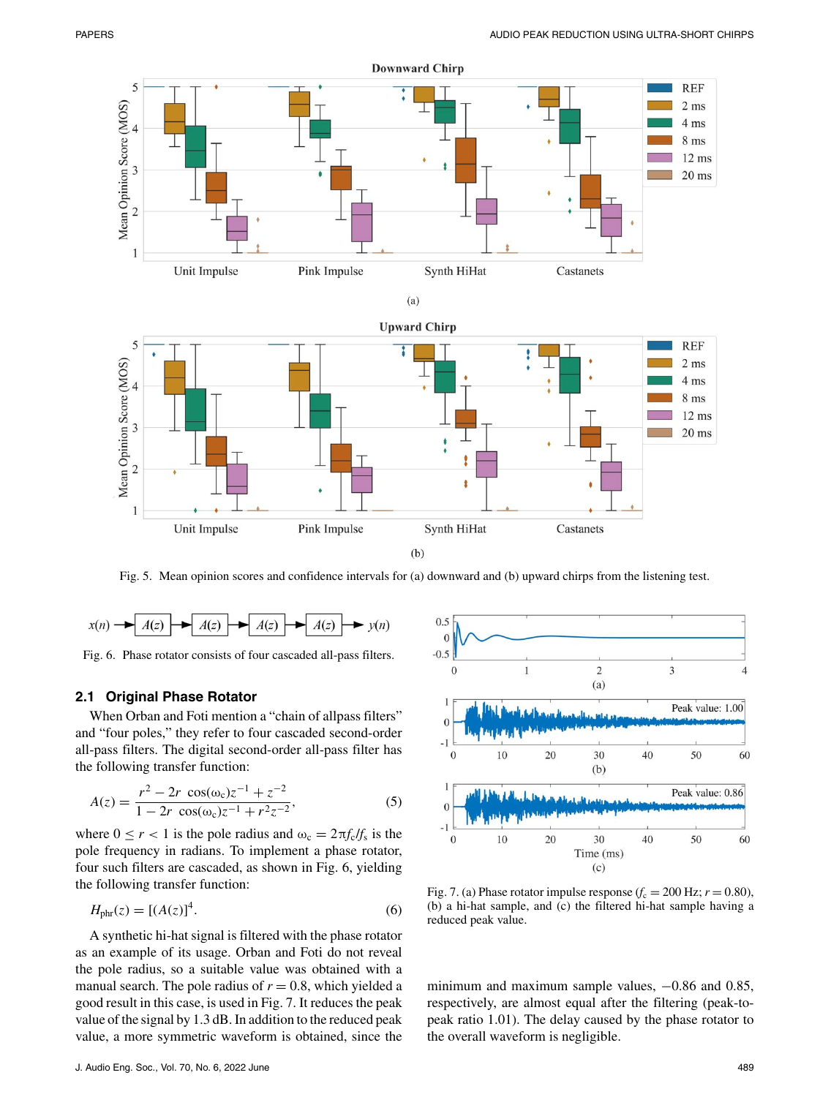







Fig. 5. Mean opinion scores and confidence intervals for (a) downward and (b) upward chirps from the listening test.



Fig. 6. Phase rotator consists of four cascaded all-pass filters.

## **2.1 Original Phase Rotator**

When Orban and Foti mention a "chain of allpass filters" and "four poles," they refer to four cascaded second-order all-pass filters. The digital second-order all-pass filter has the following transfer function:

$$
A(z) = \frac{r^2 - 2r \cos(\omega_c)z^{-1} + z^{-2}}{1 - 2r \cos(\omega_c)z^{-1} + r^2 z^{-2}},
$$
 (5)

where  $0 \le r < 1$  is the pole radius and  $\omega_c = 2\pi f_c/f_s$  is the pole frequency in radians. To implement a phase rotator, four such filters are cascaded, as shown in Fig. 6, yielding the following transfer function:

$$
H_{\text{phr}}(z) = \left[ (A(z))^4 \right]. \tag{6}
$$

A synthetic hi-hat signal is filtered with the phase rotator as an example of its usage. Orban and Foti do not reveal the pole radius, so a suitable value was obtained with a manual search. The pole radius of  $r = 0.8$ , which yielded a good result in this case, is used in Fig. 7. It reduces the peak value of the signal by 1.3 dB. In addition to the reduced peak value, a more symmetric waveform is obtained, since the



Fig. 7. (a) Phase rotator impulse response  $(f_c = 200 \text{ Hz}; r = 0.80)$ , (b) a hi-hat sample, and (c) the filtered hi-hat sample having a reduced peak value.

minimum and maximum sample values,  $-0.86$  and 0.85, respectively, are almost equal after the filtering (peak-topeak ratio 1.01). The delay caused by the phase rotator to the overall waveform is negligible.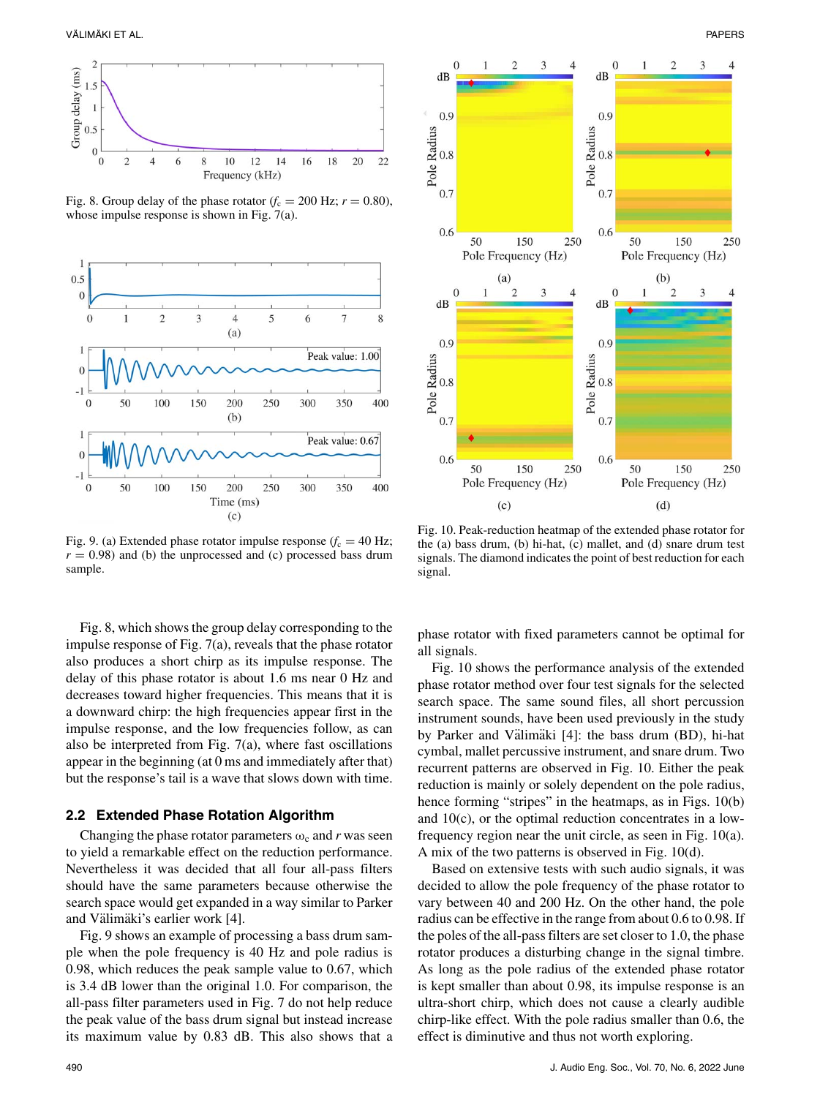

Fig. 8. Group delay of the phase rotator  $(f_c = 200 \text{ Hz}; r = 0.80)$ , whose impulse response is shown in Fig. 7(a).



Fig. 9. (a) Extended phase rotator impulse response  $(f_c = 40 \text{ Hz})$ ;  $r = 0.98$ ) and (b) the unprocessed and (c) processed bass drum sample.

Fig. 8, which shows the group delay corresponding to the impulse response of Fig. 7(a), reveals that the phase rotator also produces a short chirp as its impulse response. The delay of this phase rotator is about 1.6 ms near 0 Hz and decreases toward higher frequencies. This means that it is a downward chirp: the high frequencies appear first in the impulse response, and the low frequencies follow, as can also be interpreted from Fig.  $7(a)$ , where fast oscillations appear in the beginning (at 0 ms and immediately after that) but the response's tail is a wave that slows down with time.

#### **2.2 Extended Phase Rotation Algorithm**

Changing the phase rotator parameters  $\omega_c$  and *r* was seen to yield a remarkable effect on the reduction performance. Nevertheless it was decided that all four all-pass filters should have the same parameters because otherwise the search space would get expanded in a way similar to Parker and Välimäki's earlier work [4].

Fig. 9 shows an example of processing a bass drum sample when the pole frequency is 40 Hz and pole radius is 0.98, which reduces the peak sample value to 0.67, which is 3.4 dB lower than the original 1.0. For comparison, the all-pass filter parameters used in Fig. 7 do not help reduce the peak value of the bass drum signal but instead increase its maximum value by 0.83 dB. This also shows that a



Fig. 10. Peak-reduction heatmap of the extended phase rotator for the (a) bass drum, (b) hi-hat, (c) mallet, and (d) snare drum test signals. The diamond indicates the point of best reduction for each signal.

phase rotator with fixed parameters cannot be optimal for all signals.

Fig. 10 shows the performance analysis of the extended phase rotator method over four test signals for the selected search space. The same sound files, all short percussion instrument sounds, have been used previously in the study by Parker and Välimäki [4]: the bass drum (BD), hi-hat cymbal, mallet percussive instrument, and snare drum. Two recurrent patterns are observed in Fig. 10. Either the peak reduction is mainly or solely dependent on the pole radius, hence forming "stripes" in the heatmaps, as in Figs. 10(b) and 10(c), or the optimal reduction concentrates in a lowfrequency region near the unit circle, as seen in Fig. 10(a). A mix of the two patterns is observed in Fig. 10(d).

Based on extensive tests with such audio signals, it was decided to allow the pole frequency of the phase rotator to vary between 40 and 200 Hz. On the other hand, the pole radius can be effective in the range from about 0.6 to 0.98. If the poles of the all-pass filters are set closer to 1.0, the phase rotator produces a disturbing change in the signal timbre. As long as the pole radius of the extended phase rotator is kept smaller than about 0.98, its impulse response is an ultra-short chirp, which does not cause a clearly audible chirp-like effect. With the pole radius smaller than 0.6, the effect is diminutive and thus not worth exploring.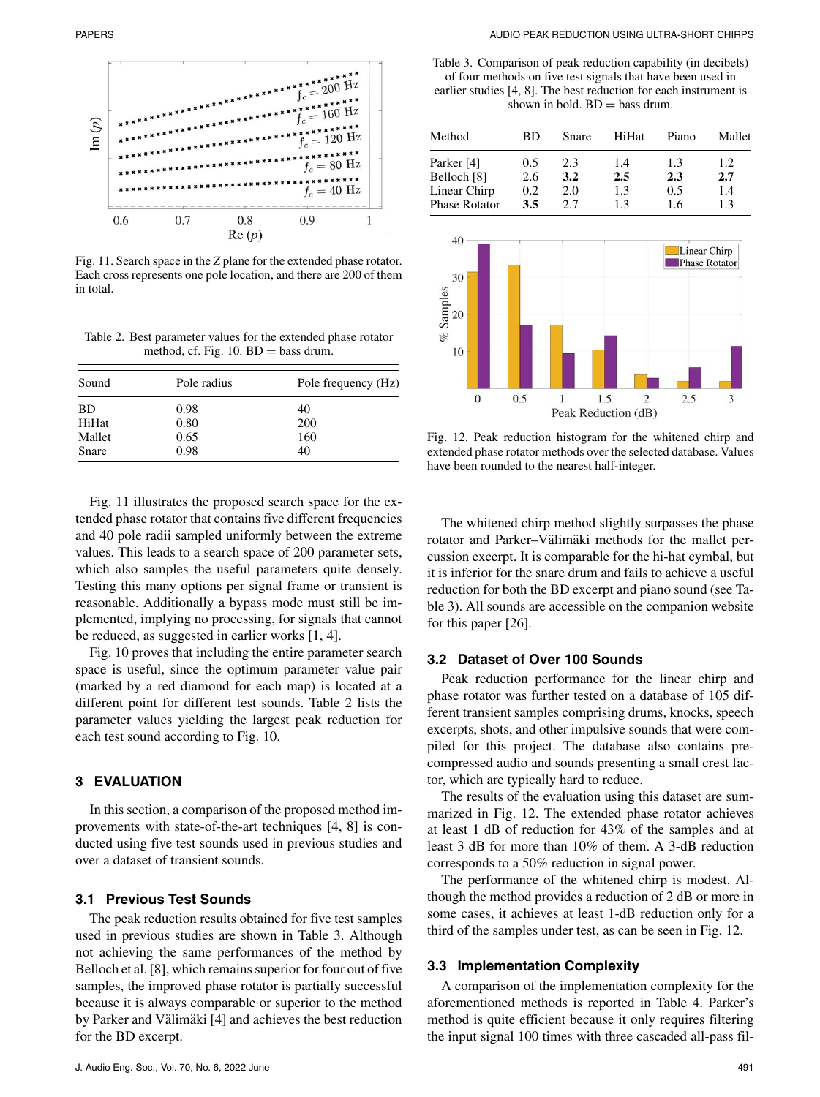

Fig. 11. Search space in the *Z* plane for the extended phase rotator. Each cross represents one pole location, and there are 200 of them in total.

Table 2. Best parameter values for the extended phase rotator method, cf. Fig.  $10$ .  $BD =$  bass drum.

| Sound     | Pole radius | Pole frequency (Hz) |  |  |
|-----------|-------------|---------------------|--|--|
| <b>BD</b> | 0.98        | 40                  |  |  |
| HiHat     | 0.80        | 200                 |  |  |
| Mallet    | 0.65        | 160                 |  |  |
| Snare     | 0.98        | 40                  |  |  |

Fig. 11 illustrates the proposed search space for the extended phase rotator that contains five different frequencies and 40 pole radii sampled uniformly between the extreme values. This leads to a search space of 200 parameter sets, which also samples the useful parameters quite densely. Testing this many options per signal frame or transient is reasonable. Additionally a bypass mode must still be implemented, implying no processing, for signals that cannot be reduced, as suggested in earlier works [1, 4].

Fig. 10 proves that including the entire parameter search space is useful, since the optimum parameter value pair (marked by a red diamond for each map) is located at a different point for different test sounds. Table 2 lists the parameter values yielding the largest peak reduction for each test sound according to Fig. 10.

## **3 EVALUATION**

In this section, a comparison of the proposed method improvements with state-of-the-art techniques [4, 8] is conducted using five test sounds used in previous studies and over a dataset of transient sounds.

# **3.1 Previous Test Sounds**

The peak reduction results obtained for five test samples used in previous studies are shown in Table 3. Although not achieving the same performances of the method by Belloch et al. [8], which remains superior for four out of five samples, the improved phase rotator is partially successful because it is always comparable or superior to the method by Parker and Välimäki [4] and achieves the best reduction for the BD excerpt.

Table 3. Comparison of peak reduction capability (in decibels) of four methods on five test signals that have been used in earlier studies [4, 8]. The best reduction for each instrument is shown in bold.  $BD =$  bass drum.

| Method               | ВD      | Snare | HiHat | Piano | Mallet |
|----------------------|---------|-------|-------|-------|--------|
| Parker [4]           | 0.5     | 2.3   | 1.4   | 1.3   | 1.2    |
| Belloch [8]          | 2.6     | 3.2   | 2.5   | 2.3   | 2.7    |
| Linear Chirp         | $0.2\,$ | 2.0   | 1.3   | 0.5   | 1.4    |
| <b>Phase Rotator</b> | 3.5     | 27    | 13    | 1.6   | 1.3    |



Fig. 12. Peak reduction histogram for the whitened chirp and extended phase rotator methods over the selected database. Values have been rounded to the nearest half-integer.

The whitened chirp method slightly surpasses the phase rotator and Parker–Välimäki methods for the mallet percussion excerpt. It is comparable for the hi-hat cymbal, but it is inferior for the snare drum and fails to achieve a useful reduction for both the BD excerpt and piano sound (see Table 3). All sounds are accessible on the companion website for this paper [26].

# **3.2 Dataset of Over 100 Sounds**

Peak reduction performance for the linear chirp and phase rotator was further tested on a database of 105 different transient samples comprising drums, knocks, speech excerpts, shots, and other impulsive sounds that were compiled for this project. The database also contains precompressed audio and sounds presenting a small crest factor, which are typically hard to reduce.

The results of the evaluation using this dataset are summarized in Fig. 12. The extended phase rotator achieves at least 1 dB of reduction for 43% of the samples and at least 3 dB for more than 10% of them. A 3-dB reduction corresponds to a 50% reduction in signal power.

The performance of the whitened chirp is modest. Although the method provides a reduction of 2 dB or more in some cases, it achieves at least 1-dB reduction only for a third of the samples under test, as can be seen in Fig. 12.

# **3.3 Implementation Complexity**

A comparison of the implementation complexity for the aforementioned methods is reported in Table 4. Parker's method is quite efficient because it only requires filtering the input signal 100 times with three cascaded all-pass fil-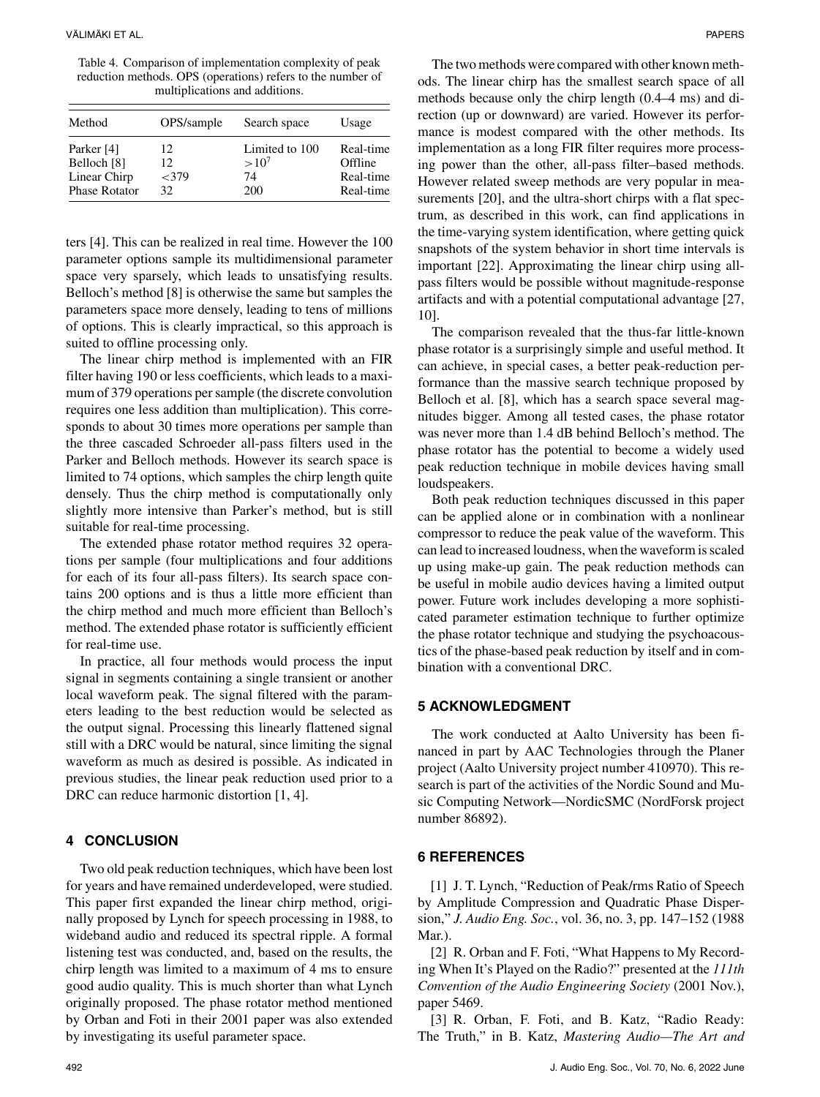Table 4. Comparison of implementation complexity of peak reduction methods. OPS (operations) refers to the number of multiplications and additions.

| Method                 | OPS/sample | Search space   | Usage     |
|------------------------|------------|----------------|-----------|
| Parker [4]             | 12         | Limited to 100 | Real-time |
| Belloch <sup>[8]</sup> | 12.        | $>10^{7}$      | Offline   |
| Linear Chirp           | <379       | 74             | Real-time |
| <b>Phase Rotator</b>   | 32         | 200            | Real-time |

ters [4]. This can be realized in real time. However the 100 parameter options sample its multidimensional parameter space very sparsely, which leads to unsatisfying results. Belloch's method [8] is otherwise the same but samples the parameters space more densely, leading to tens of millions of options. This is clearly impractical, so this approach is suited to offline processing only.

The linear chirp method is implemented with an FIR filter having 190 or less coefficients, which leads to a maximum of 379 operations per sample (the discrete convolution requires one less addition than multiplication). This corresponds to about 30 times more operations per sample than the three cascaded Schroeder all-pass filters used in the Parker and Belloch methods. However its search space is limited to 74 options, which samples the chirp length quite densely. Thus the chirp method is computationally only slightly more intensive than Parker's method, but is still suitable for real-time processing.

The extended phase rotator method requires 32 operations per sample (four multiplications and four additions for each of its four all-pass filters). Its search space contains 200 options and is thus a little more efficient than the chirp method and much more efficient than Belloch's method. The extended phase rotator is sufficiently efficient for real-time use.

In practice, all four methods would process the input signal in segments containing a single transient or another local waveform peak. The signal filtered with the parameters leading to the best reduction would be selected as the output signal. Processing this linearly flattened signal still with a DRC would be natural, since limiting the signal waveform as much as desired is possible. As indicated in previous studies, the linear peak reduction used prior to a DRC can reduce harmonic distortion [1, 4].

#### **4 CONCLUSION**

Two old peak reduction techniques, which have been lost for years and have remained underdeveloped, were studied. This paper first expanded the linear chirp method, originally proposed by Lynch for speech processing in 1988, to wideband audio and reduced its spectral ripple. A formal listening test was conducted, and, based on the results, the chirp length was limited to a maximum of 4 ms to ensure good audio quality. This is much shorter than what Lynch originally proposed. The phase rotator method mentioned by Orban and Foti in their 2001 paper was also extended by investigating its useful parameter space.

The two methods were compared with other known methods. The linear chirp has the smallest search space of all methods because only the chirp length (0.4–4 ms) and direction (up or downward) are varied. However its performance is modest compared with the other methods. Its implementation as a long FIR filter requires more processing power than the other, all-pass filter–based methods. However related sweep methods are very popular in measurements [20], and the ultra-short chirps with a flat spectrum, as described in this work, can find applications in the time-varying system identification, where getting quick snapshots of the system behavior in short time intervals is important [22]. Approximating the linear chirp using allpass filters would be possible without magnitude-response artifacts and with a potential computational advantage [27, 10].

The comparison revealed that the thus-far little-known phase rotator is a surprisingly simple and useful method. It can achieve, in special cases, a better peak-reduction performance than the massive search technique proposed by Belloch et al. [8], which has a search space several magnitudes bigger. Among all tested cases, the phase rotator was never more than 1.4 dB behind Belloch's method. The phase rotator has the potential to become a widely used peak reduction technique in mobile devices having small loudspeakers.

Both peak reduction techniques discussed in this paper can be applied alone or in combination with a nonlinear compressor to reduce the peak value of the waveform. This can lead to increased loudness, when the waveform is scaled up using make-up gain. The peak reduction methods can be useful in mobile audio devices having a limited output power. Future work includes developing a more sophisticated parameter estimation technique to further optimize the phase rotator technique and studying the psychoacoustics of the phase-based peak reduction by itself and in combination with a conventional DRC.

#### **5 ACKNOWLEDGMENT**

The work conducted at Aalto University has been financed in part by AAC Technologies through the Planer project (Aalto University project number 410970). This research is part of the activities of the Nordic Sound and Music Computing Network—NordicSMC (NordForsk project number 86892).

#### **6 REFERENCES**

[1] J. T. Lynch, "Reduction of Peak/rms Ratio of Speech by Amplitude Compression and Quadratic Phase Dispersion," *J. Audio Eng. Soc.*, vol. 36, no. 3, pp. 147–152 (1988 Mar.).

[2] R. Orban and F. Foti, "What Happens to My Recording When It's Played on the Radio?" presented at the *111th Convention of the Audio Engineering Society* (2001 Nov.), paper 5469.

[3] R. Orban, F. Foti, and B. Katz, "Radio Ready: The Truth," in B. Katz, *Mastering Audio—The Art and*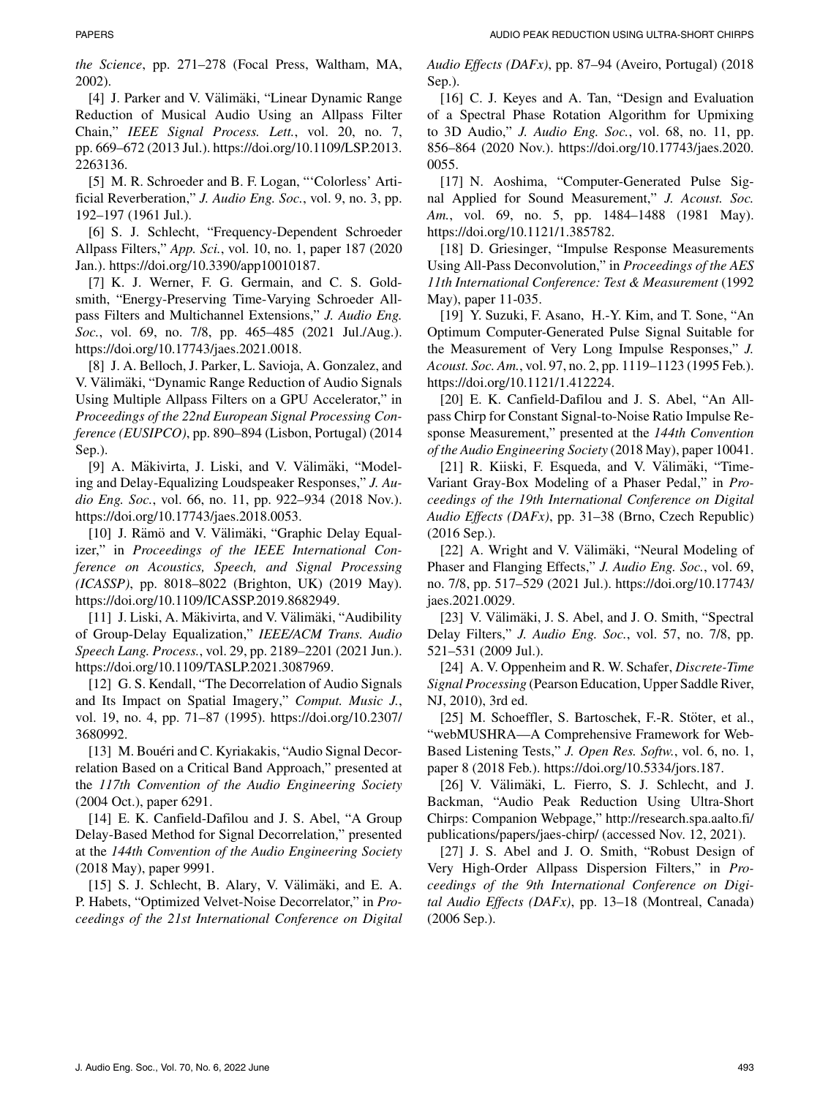*the Science*, pp. 271–278 (Focal Press, Waltham, MA, 2002).

[4] J. Parker and V. Välimäki, "Linear Dynamic Range Reduction of Musical Audio Using an Allpass Filter Chain," *IEEE Signal Process. Lett.*, vol. 20, no. 7, pp. 669–672 (2013 Jul.). [https://doi.org/10.1109/LSP.2013.](https://doi.org/10.1109/LSP.2013.2263136) [2263136.](https://doi.org/10.1109/LSP.2013.2263136)

[5] M. R. Schroeder and B. F. Logan, "'Colorless' Artificial Reverberation," *J. Audio Eng. Soc.*, vol. 9, no. 3, pp. 192–197 (1961 Jul.).

[6] S. J. Schlecht, "Frequency-Dependent Schroeder Allpass Filters," *App. Sci.*, vol. 10, no. 1, paper 187 (2020 Jan.). [https://doi.org/10.3390/app10010187.](https://doi.org/10.3390/app10010187)

[7] K. J. Werner, F. G. Germain, and C. S. Goldsmith, "Energy-Preserving Time-Varying Schroeder Allpass Filters and Multichannel Extensions," *J. Audio Eng. Soc.*, vol. 69, no. 7/8, pp. 465–485 (2021 Jul./Aug.). [https://doi.org/10.17743/jaes.2021.0018.](https://doi.org/10.17743/jaes.2021.0018)

[8] J. A. Belloch, J. Parker, L. Savioja, A. Gonzalez, and V. Välimäki, "Dynamic Range Reduction of Audio Signals Using Multiple Allpass Filters on a GPU Accelerator," in *Proceedings of the 22nd European Signal Processing Conference (EUSIPCO)*, pp. 890–894 (Lisbon, Portugal) (2014 Sep.).

[9] A. Mäkivirta, J. Liski, and V. Välimäki, "Modeling and Delay-Equalizing Loudspeaker Responses," *J. Audio Eng. Soc.*, vol. 66, no. 11, pp. 922–934 (2018 Nov.). [https://doi.org/10.17743/jaes.2018.0053.](https://doi.org/10.17743/jaes.2018.0053)

[10] J. Rämö and V. Välimäki, "Graphic Delay Equalizer," in *Proceedings of the IEEE International Conference on Acoustics, Speech, and Signal Processing (ICASSP)*, pp. 8018–8022 (Brighton, UK) (2019 May). [https://doi.org/10.1109/ICASSP.2019.8682949.](https://doi.org/10.1109/ICASSP.2019.8682949)

[11] J. Liski, A. Mäkivirta, and V. Välimäki, "Audibility of Group-Delay Equalization," *IEEE/ACM Trans. Audio Speech Lang. Process.*, vol. 29, pp. 2189–2201 (2021 Jun.). [https://doi.org/10.1109/TASLP.2021.3087969.](https://doi.org/10.1109/TASLP.2021.3087969)

[12] G. S. Kendall, "The Decorrelation of Audio Signals and Its Impact on Spatial Imagery," *Comput. Music J.*, vol. 19, no. 4, pp. 71–87 (1995). [https://doi.org/10.2307/](https://doi.org/10.2307/3680992) [3680992.](https://doi.org/10.2307/3680992)

[13] M. Bouéri and C. Kyriakakis, "Audio Signal Decorrelation Based on a Critical Band Approach," presented at the *117th Convention of the Audio Engineering Society* (2004 Oct.), paper 6291.

[14] E. K. Canfield-Dafilou and J. S. Abel, "A Group" Delay-Based Method for Signal Decorrelation," presented at the *144th Convention of the Audio Engineering Society* (2018 May), paper 9991.

[15] S. J. Schlecht, B. Alary, V. Välimäki, and E. A. P. Habets, "Optimized Velvet-Noise Decorrelator," in *Proceedings of the 21st International Conference on Digital* *Audio Effects (DAFx)*, pp. 87–94 (Aveiro, Portugal) (2018 Sep.).

[16] C. J. Keyes and A. Tan, "Design and Evaluation of a Spectral Phase Rotation Algorithm for Upmixing to 3D Audio," *J. Audio Eng. Soc.*, vol. 68, no. 11, pp. 856–864 (2020 Nov.). [https://doi.org/10.17743/jaes.2020.](https://doi.org/10.17743/jaes.2020.0055) [0055.](https://doi.org/10.17743/jaes.2020.0055)

[17] N. Aoshima, "Computer-Generated Pulse Signal Applied for Sound Measurement," *J. Acoust. Soc. Am.*, vol. 69, no. 5, pp. 1484–1488 (1981 May). [https://doi.org/10.1121/1.385782.](https://doi.org/10.1121/1.385782)

[18] D. Griesinger, "Impulse Response Measurements Using All-Pass Deconvolution," in *Proceedings of the AES 11th International Conference: Test & Measurement* (1992 May), paper 11-035.

[19] Y. Suzuki, F. Asano, H.-Y. Kim, and T. Sone, "An Optimum Computer-Generated Pulse Signal Suitable for the Measurement of Very Long Impulse Responses," *J. Acoust. Soc. Am.*, vol. 97, no. 2, pp. 1119–1123 (1995 Feb.). [https://doi.org/10.1121/1.412224.](https://doi.org/10.1121/1.412224)

[20] E. K. Canfield-Dafilou and J. S. Abel, "An Allpass Chirp for Constant Signal-to-Noise Ratio Impulse Response Measurement," presented at the *144th Convention of the Audio Engineering Society* (2018 May), paper 10041.

[21] R. Kiiski, F. Esqueda, and V. Välimäki, "Time-Variant Gray-Box Modeling of a Phaser Pedal," in *Proceedings of the 19th International Conference on Digital Audio Effects (DAFx)*, pp. 31–38 (Brno, Czech Republic) (2016 Sep.).

[22] A. Wright and V. Välimäki, "Neural Modeling of Phaser and Flanging Effects," *J. Audio Eng. Soc.*, vol. 69, no. 7/8, pp. 517–529 (2021 Jul.). [https://doi.org/10.17743/](https://doi.org/10.17743/jaes.2021.0029) [jaes.2021.0029.](https://doi.org/10.17743/jaes.2021.0029)

[23] V. Välimäki, J. S. Abel, and J. O. Smith, "Spectral Delay Filters," *J. Audio Eng. Soc.*, vol. 57, no. 7/8, pp. 521–531 (2009 Jul.).

[24] A. V. Oppenheim and R. W. Schafer, *Discrete-Time Signal Processing* (Pearson Education, Upper Saddle River, NJ, 2010), 3rd ed.

[25] M. Schoeffler, S. Bartoschek, F.-R. Stöter, et al., "webMUSHRA—A Comprehensive Framework for Web-Based Listening Tests," *J. Open Res. Softw.*, vol. 6, no. 1, paper 8 (2018 Feb.). [https://doi.org/10.5334/jors.187.](https://doi.org/10.5334/jors.187)

[26] V. Välimäki, L. Fierro, S. J. Schlecht, and J. Backman, "Audio Peak Reduction Using Ultra-Short Chirps: Companion Webpage," [http://research.spa.aalto.fi/](http://research.spa.aalto.fi/publications/papers/jaes-chirp/) [publications/papers/jaes-chirp/](http://research.spa.aalto.fi/publications/papers/jaes-chirp/) (accessed Nov. 12, 2021).

[27] J. S. Abel and J. O. Smith, "Robust Design of Very High-Order Allpass Dispersion Filters," in *Proceedings of the 9th International Conference on Digital Audio Effects (DAFx)*, pp. 13–18 (Montreal, Canada) (2006 Sep.).